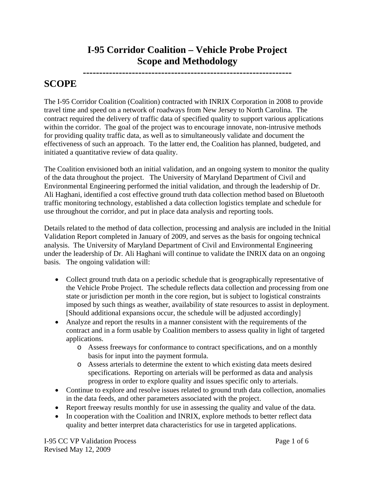## **I-95 Corridor Coalition – Vehicle Probe Project Scope and Methodology**

**----------------------------------------------------------------** 

# **SCOPE**

The I-95 Corridor Coalition (Coalition) contracted with INRIX Corporation in 2008 to provide travel time and speed on a network of roadways from New Jersey to North Carolina. The contract required the delivery of traffic data of specified quality to support various applications within the corridor. The goal of the project was to encourage innovate, non-intrusive methods for providing quality traffic data, as well as to simultaneously validate and document the effectiveness of such an approach. To the latter end, the Coalition has planned, budgeted, and initiated a quantitative review of data quality.

The Coalition envisioned both an initial validation, and an ongoing system to monitor the quality of the data throughout the project. The University of Maryland Department of Civil and Environmental Engineering performed the initial validation, and through the leadership of Dr. Ali Haghani, identified a cost effective ground truth data collection method based on Bluetooth traffic monitoring technology, established a data collection logistics template and schedule for use throughout the corridor, and put in place data analysis and reporting tools.

Details related to the method of data collection, processing and analysis are included in the Initial Validation Report completed in January of 2009, and serves as the basis for ongoing technical analysis. The University of Maryland Department of Civil and Environmental Engineering under the leadership of Dr. Ali Haghani will continue to validate the INRIX data on an ongoing basis. The ongoing validation will:

- Collect ground truth data on a periodic schedule that is geographically representative of the Vehicle Probe Project. The schedule reflects data collection and processing from one state or jurisdiction per month in the core region, but is subject to logistical constraints imposed by such things as weather, availability of state resources to assist in deployment. [Should additional expansions occur, the schedule will be adjusted accordingly]
- Analyze and report the results in a manner consistent with the requirements of the contract and in a form usable by Coalition members to assess quality in light of targeted applications.
	- o Assess freeways for conformance to contract specifications, and on a monthly basis for input into the payment formula.
	- o Assess arterials to determine the extent to which existing data meets desired specifications. Reporting on arterials will be performed as data and analysis progress in order to explore quality and issues specific only to arterials.
- Continue to explore and resolve issues related to ground truth data collection, anomalies in the data feeds, and other parameters associated with the project.
- Report freeway results monthly for use in assessing the quality and value of the data.
- In cooperation with the Coalition and INRIX, explore methods to better reflect data quality and better interpret data characteristics for use in targeted applications.

I-95 CC VP Validation Process Page 1 of 6 Revised May 12, 2009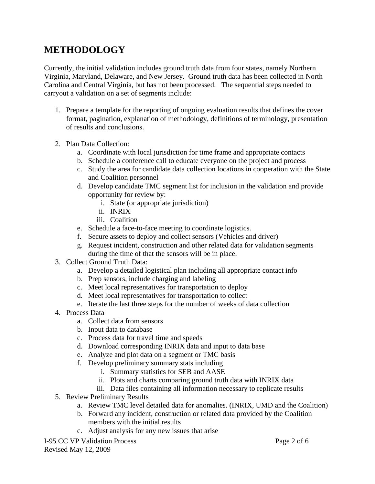## **METHODOLOGY**

Currently, the initial validation includes ground truth data from four states, namely Northern Virginia, Maryland, Delaware, and New Jersey. Ground truth data has been collected in North Carolina and Central Virginia, but has not been processed. The sequential steps needed to carryout a validation on a set of segments include:

- 1. Prepare a template for the reporting of ongoing evaluation results that defines the cover format, pagination, explanation of methodology, definitions of terminology, presentation of results and conclusions.
- 2. Plan Data Collection:
	- a. Coordinate with local jurisdiction for time frame and appropriate contacts
	- b. Schedule a conference call to educate everyone on the project and process
	- c. Study the area for candidate data collection locations in cooperation with the State and Coalition personnel
	- d. Develop candidate TMC segment list for inclusion in the validation and provide opportunity for review by:
		- i. State (or appropriate jurisdiction)
		- ii. INRIX
		- iii. Coalition
	- e. Schedule a face-to-face meeting to coordinate logistics.
	- f. Secure assets to deploy and collect sensors (Vehicles and driver)
	- g. Request incident, construction and other related data for validation segments during the time of that the sensors will be in place.
- 3. Collect Ground Truth Data:
	- a. Develop a detailed logistical plan including all appropriate contact info
	- b. Prep sensors, include charging and labeling
	- c. Meet local representatives for transportation to deploy
	- d. Meet local representatives for transportation to collect
	- e. Iterate the last three steps for the number of weeks of data collection
- 4. Process Data
	- a. Collect data from sensors
	- b. Input data to database
	- c. Process data for travel time and speeds
	- d. Download corresponding INRIX data and input to data base
	- e. Analyze and plot data on a segment or TMC basis
	- f. Develop preliminary summary stats including
		- i. Summary statistics for SEB and AASE
		- ii. Plots and charts comparing ground truth data with INRIX data
		- iii. Data files containing all information necessary to replicate results
- 5. Review Preliminary Results
	- a. Review TMC level detailed data for anomalies. (INRIX, UMD and the Coalition)
	- b. Forward any incident, construction or related data provided by the Coalition members with the initial results
	- c. Adjust analysis for any new issues that arise

I-95 CC VP Validation Process Page 2 of 6 Revised May 12, 2009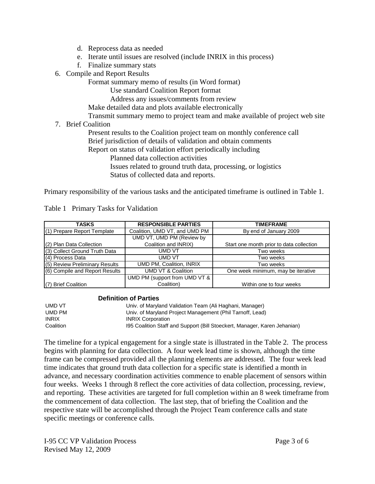- d. Reprocess data as needed
- e. Iterate until issues are resolved (include INRIX in this process)
- f. Finalize summary stats
- 6. Compile and Report Results

Format summary memo of results (in Word format)

Use standard Coalition Report format

Address any issues/comments from review

Make detailed data and plots available electronically

Transmit summary memo to project team and make available of project web site

7. Brief Coalition

 Present results to the Coalition project team on monthly conference call Brief jurisdiction of details of validation and obtain comments

Report on status of validation effort periodically including

Planned data collection activities

Issues related to ground truth data, processing, or logistics

Status of collected data and reports.

Primary responsibility of the various tasks and the anticipated timeframe is outlined in Table 1.

| TASKS                          | <b>RESPONSIBLE PARTIES</b>    | <b>TIMEFRAME</b>                         |  |  |  |  |
|--------------------------------|-------------------------------|------------------------------------------|--|--|--|--|
| (1) Prepare Report Template    | Coalition, UMD VT, and UMD PM | By end of January 2009                   |  |  |  |  |
|                                | UMD VT, UMD PM (Review by     |                                          |  |  |  |  |
| (2) Plan Data Collection       | Coalition and INRIX)          | Start one month prior to data collection |  |  |  |  |
| (3) Collect Ground Truth Data  | UMD VT                        | Two weeks                                |  |  |  |  |
| (4) Process Data               | UMD VT                        | Two weeks                                |  |  |  |  |
| (5) Review Preliminary Results | UMD PM, Coalition, INRIX      | Two weeks                                |  |  |  |  |
| (6) Compile and Report Results | UMD VT & Coalition            | One week minimum, may be iterative       |  |  |  |  |
|                                | UMD PM (support from UMD VT & |                                          |  |  |  |  |
| (7) Brief Coalition            | Coalition)                    | Within one to four weeks                 |  |  |  |  |

Table 1 Primary Tasks for Validation

#### **Definition of Parties**

| UMD VT       | Univ. of Maryland Validation Team (Ali Haghani, Manager)                  |
|--------------|---------------------------------------------------------------------------|
| UMD PM       | Univ. of Maryland Project Management (Phil Tarnoff, Lead)                 |
| <b>INRIX</b> | <b>INRIX Corporation</b>                                                  |
| Coalition    | 195 Coalition Staff and Support (Bill Stoeckert, Manager, Karen Jehanian) |

The timeline for a typical engagement for a single state is illustrated in the Table 2. The process begins with planning for data collection. A four week lead time is shown, although the time frame can be compressed provided all the planning elements are addressed. The four week lead time indicates that ground truth data collection for a specific state is identified a month in advance, and necessary coordination activities commence to enable placement of sensors within four weeks. Weeks 1 through 8 reflect the core activities of data collection, processing, review, and reporting. These activities are targeted for full completion within an 8 week timeframe from the commencement of data collection. The last step, that of briefing the Coalition and the respective state will be accomplished through the Project Team conference calls and state specific meetings or conference calls.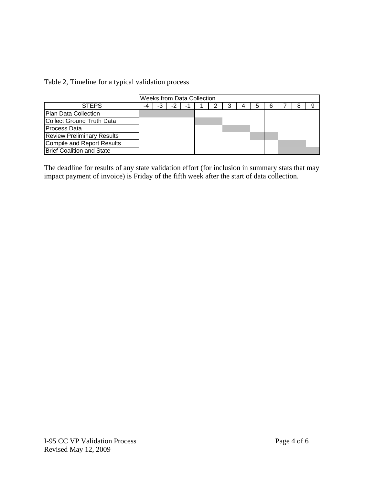| Table 2, Timeline for a typical validation process |  |  |  |
|----------------------------------------------------|--|--|--|
|----------------------------------------------------|--|--|--|

|                                   | Weeks from Data Collection |  |    |    |  |  |  |  |  |  |  |
|-----------------------------------|----------------------------|--|----|----|--|--|--|--|--|--|--|
| <b>STEPS</b>                      | -4                         |  | -2 | -1 |  |  |  |  |  |  |  |
| Plan Data Collection              |                            |  |    |    |  |  |  |  |  |  |  |
| <b>Collect Ground Truth Data</b>  |                            |  |    |    |  |  |  |  |  |  |  |
| Process Data                      |                            |  |    |    |  |  |  |  |  |  |  |
| <b>Review Preliminary Results</b> |                            |  |    |    |  |  |  |  |  |  |  |
| <b>Compile and Report Results</b> |                            |  |    |    |  |  |  |  |  |  |  |
| <b>Brief Coalition and State</b>  |                            |  |    |    |  |  |  |  |  |  |  |

The deadline for results of any state validation effort (for inclusion in summary stats that may impact payment of invoice) is Friday of the fifth week after the start of data collection.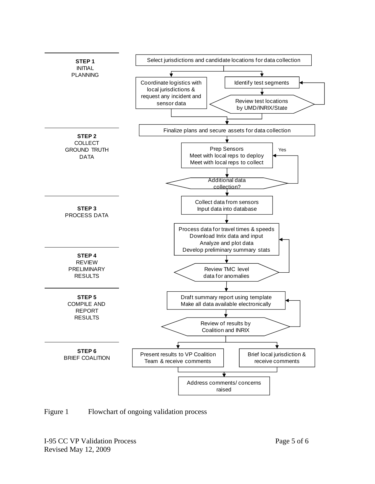